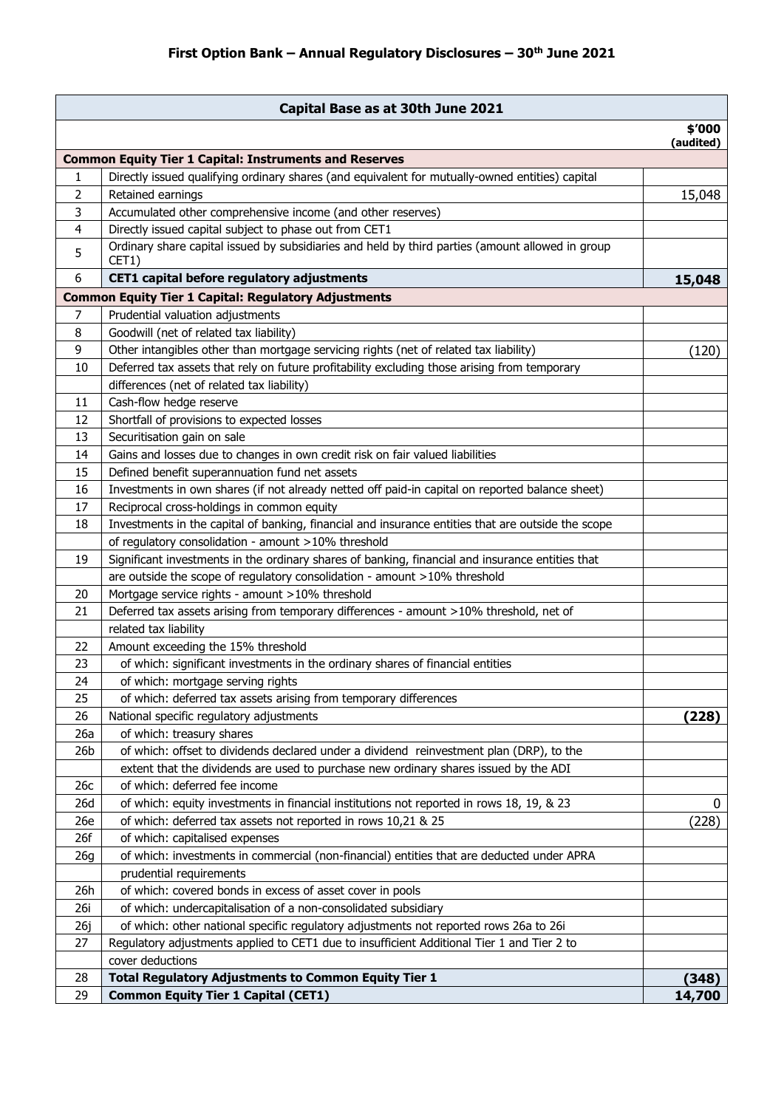|                 | Capital Base as at 30th June 2021                                                                         |                     |
|-----------------|-----------------------------------------------------------------------------------------------------------|---------------------|
|                 |                                                                                                           | \$'000<br>(audited) |
|                 | <b>Common Equity Tier 1 Capital: Instruments and Reserves</b>                                             |                     |
| 1               | Directly issued qualifying ordinary shares (and equivalent for mutually-owned entities) capital           |                     |
| 2               | Retained earnings                                                                                         | 15,048              |
| 3               | Accumulated other comprehensive income (and other reserves)                                               |                     |
| 4               | Directly issued capital subject to phase out from CET1                                                    |                     |
| 5               | Ordinary share capital issued by subsidiaries and held by third parties (amount allowed in group<br>CET1) |                     |
| 6               | CET1 capital before regulatory adjustments                                                                | 15,048              |
|                 | <b>Common Equity Tier 1 Capital: Regulatory Adjustments</b>                                               |                     |
| 7               | Prudential valuation adjustments                                                                          |                     |
| 8               | Goodwill (net of related tax liability)                                                                   |                     |
| 9               | Other intangibles other than mortgage servicing rights (net of related tax liability)                     | (120)               |
| 10              | Deferred tax assets that rely on future profitability excluding those arising from temporary              |                     |
|                 | differences (net of related tax liability)                                                                |                     |
| 11              | Cash-flow hedge reserve                                                                                   |                     |
| 12              | Shortfall of provisions to expected losses                                                                |                     |
| 13              | Securitisation gain on sale                                                                               |                     |
| 14              | Gains and losses due to changes in own credit risk on fair valued liabilities                             |                     |
| 15              | Defined benefit superannuation fund net assets                                                            |                     |
| 16              | Investments in own shares (if not already netted off paid-in capital on reported balance sheet)           |                     |
| 17              | Reciprocal cross-holdings in common equity                                                                |                     |
| 18              | Investments in the capital of banking, financial and insurance entities that are outside the scope        |                     |
|                 | of regulatory consolidation - amount >10% threshold                                                       |                     |
| 19              | Significant investments in the ordinary shares of banking, financial and insurance entities that          |                     |
|                 | are outside the scope of regulatory consolidation - amount >10% threshold                                 |                     |
| 20              | Mortgage service rights - amount >10% threshold                                                           |                     |
| 21              | Deferred tax assets arising from temporary differences - amount >10% threshold, net of                    |                     |
|                 | related tax liability                                                                                     |                     |
| 22              | Amount exceeding the 15% threshold                                                                        |                     |
| 23              | of which: significant investments in the ordinary shares of financial entities                            |                     |
| 24              | of which: mortgage serving rights                                                                         |                     |
| 25              | of which: deferred tax assets arising from temporary differences                                          |                     |
| 26              | National specific regulatory adjustments                                                                  | (228)               |
| 26a             | of which: treasury shares                                                                                 |                     |
| 26 <sub>b</sub> | of which: offset to dividends declared under a dividend reinvestment plan (DRP), to the                   |                     |
|                 | extent that the dividends are used to purchase new ordinary shares issued by the ADI                      |                     |
| 26c             | of which: deferred fee income                                                                             |                     |
| 26d             | of which: equity investments in financial institutions not reported in rows 18, 19, & 23                  | 0                   |
| 26e             | of which: deferred tax assets not reported in rows 10,21 & 25                                             | (228)               |
| 26f             | of which: capitalised expenses                                                                            |                     |
| 26g             | of which: investments in commercial (non-financial) entities that are deducted under APRA                 |                     |
|                 | prudential requirements                                                                                   |                     |
| 26h             | of which: covered bonds in excess of asset cover in pools                                                 |                     |
| 26i             | of which: undercapitalisation of a non-consolidated subsidiary                                            |                     |
| 26j             | of which: other national specific regulatory adjustments not reported rows 26a to 26i                     |                     |
| 27              | Regulatory adjustments applied to CET1 due to insufficient Additional Tier 1 and Tier 2 to                |                     |
|                 | cover deductions                                                                                          |                     |
| 28              | <b>Total Regulatory Adjustments to Common Equity Tier 1</b>                                               | (348)               |
| 29              | <b>Common Equity Tier 1 Capital (CET1)</b>                                                                | 14,700              |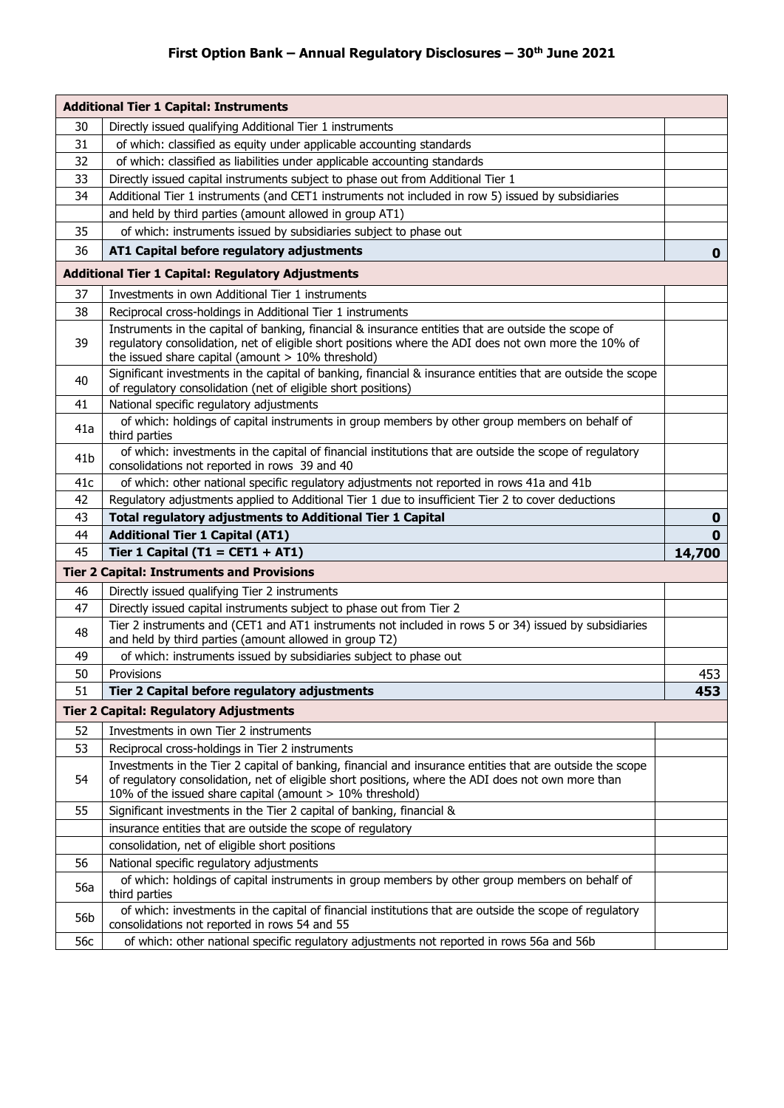## **First Option Bank – Annual Regulatory Disclosures – 30th June 2021**

|                                                          | <b>Additional Tier 1 Capital: Instruments</b>                                                                                                                                                                                                                               |             |
|----------------------------------------------------------|-----------------------------------------------------------------------------------------------------------------------------------------------------------------------------------------------------------------------------------------------------------------------------|-------------|
| 30                                                       | Directly issued qualifying Additional Tier 1 instruments                                                                                                                                                                                                                    |             |
| 31                                                       | of which: classified as equity under applicable accounting standards                                                                                                                                                                                                        |             |
| 32                                                       | of which: classified as liabilities under applicable accounting standards                                                                                                                                                                                                   |             |
| 33                                                       | Directly issued capital instruments subject to phase out from Additional Tier 1                                                                                                                                                                                             |             |
| 34                                                       | Additional Tier 1 instruments (and CET1 instruments not included in row 5) issued by subsidiaries                                                                                                                                                                           |             |
|                                                          | and held by third parties (amount allowed in group AT1)                                                                                                                                                                                                                     |             |
| 35                                                       | of which: instruments issued by subsidiaries subject to phase out                                                                                                                                                                                                           |             |
| 36                                                       | AT1 Capital before regulatory adjustments                                                                                                                                                                                                                                   | $\mathbf 0$ |
| <b>Additional Tier 1 Capital: Regulatory Adjustments</b> |                                                                                                                                                                                                                                                                             |             |
| 37                                                       | Investments in own Additional Tier 1 instruments                                                                                                                                                                                                                            |             |
| 38                                                       | Reciprocal cross-holdings in Additional Tier 1 instruments                                                                                                                                                                                                                  |             |
| 39                                                       | Instruments in the capital of banking, financial & insurance entities that are outside the scope of<br>regulatory consolidation, net of eligible short positions where the ADI does not own more the 10% of<br>the issued share capital (amount $> 10\%$ threshold)         |             |
| 40                                                       | Significant investments in the capital of banking, financial & insurance entities that are outside the scope<br>of regulatory consolidation (net of eligible short positions)                                                                                               |             |
| 41                                                       | National specific regulatory adjustments                                                                                                                                                                                                                                    |             |
| 41a                                                      | of which: holdings of capital instruments in group members by other group members on behalf of<br>third parties                                                                                                                                                             |             |
| 41 <sub>b</sub>                                          | of which: investments in the capital of financial institutions that are outside the scope of regulatory<br>consolidations not reported in rows 39 and 40                                                                                                                    |             |
| 41c                                                      | of which: other national specific regulatory adjustments not reported in rows 41a and 41b                                                                                                                                                                                   |             |
| 42                                                       | Regulatory adjustments applied to Additional Tier 1 due to insufficient Tier 2 to cover deductions                                                                                                                                                                          |             |
| 43                                                       | <b>Total regulatory adjustments to Additional Tier 1 Capital</b>                                                                                                                                                                                                            | $\mathbf 0$ |
| 44                                                       | <b>Additional Tier 1 Capital (AT1)</b>                                                                                                                                                                                                                                      | $\mathbf 0$ |
| 45                                                       | Tier 1 Capital (T1 = CET1 + AT1)                                                                                                                                                                                                                                            | 14,700      |
|                                                          | <b>Tier 2 Capital: Instruments and Provisions</b>                                                                                                                                                                                                                           |             |
| 46                                                       | Directly issued qualifying Tier 2 instruments                                                                                                                                                                                                                               |             |
| 47                                                       | Directly issued capital instruments subject to phase out from Tier 2                                                                                                                                                                                                        |             |
| 48                                                       | Tier 2 instruments and (CET1 and AT1 instruments not included in rows 5 or 34) issued by subsidiaries<br>and held by third parties (amount allowed in group T2)                                                                                                             |             |
| 49                                                       | of which: instruments issued by subsidiaries subject to phase out                                                                                                                                                                                                           |             |
| 50                                                       |                                                                                                                                                                                                                                                                             |             |
|                                                          | Provisions                                                                                                                                                                                                                                                                  |             |
| 51                                                       | Tier 2 Capital before regulatory adjustments                                                                                                                                                                                                                                | 453<br>453  |
|                                                          |                                                                                                                                                                                                                                                                             |             |
|                                                          | <b>Tier 2 Capital: Regulatory Adjustments</b>                                                                                                                                                                                                                               |             |
| 52                                                       | Investments in own Tier 2 instruments                                                                                                                                                                                                                                       |             |
| 53                                                       | Reciprocal cross-holdings in Tier 2 instruments                                                                                                                                                                                                                             |             |
| 54                                                       | Investments in the Tier 2 capital of banking, financial and insurance entities that are outside the scope<br>of regulatory consolidation, net of eligible short positions, where the ADI does not own more than<br>10% of the issued share capital (amount > 10% threshold) |             |
| 55                                                       | Significant investments in the Tier 2 capital of banking, financial &                                                                                                                                                                                                       |             |
|                                                          | insurance entities that are outside the scope of regulatory                                                                                                                                                                                                                 |             |
|                                                          | consolidation, net of eligible short positions                                                                                                                                                                                                                              |             |
| 56                                                       | National specific regulatory adjustments                                                                                                                                                                                                                                    |             |
| 56a                                                      | of which: holdings of capital instruments in group members by other group members on behalf of<br>third parties                                                                                                                                                             |             |
| 56b                                                      | of which: investments in the capital of financial institutions that are outside the scope of regulatory<br>consolidations not reported in rows 54 and 55                                                                                                                    |             |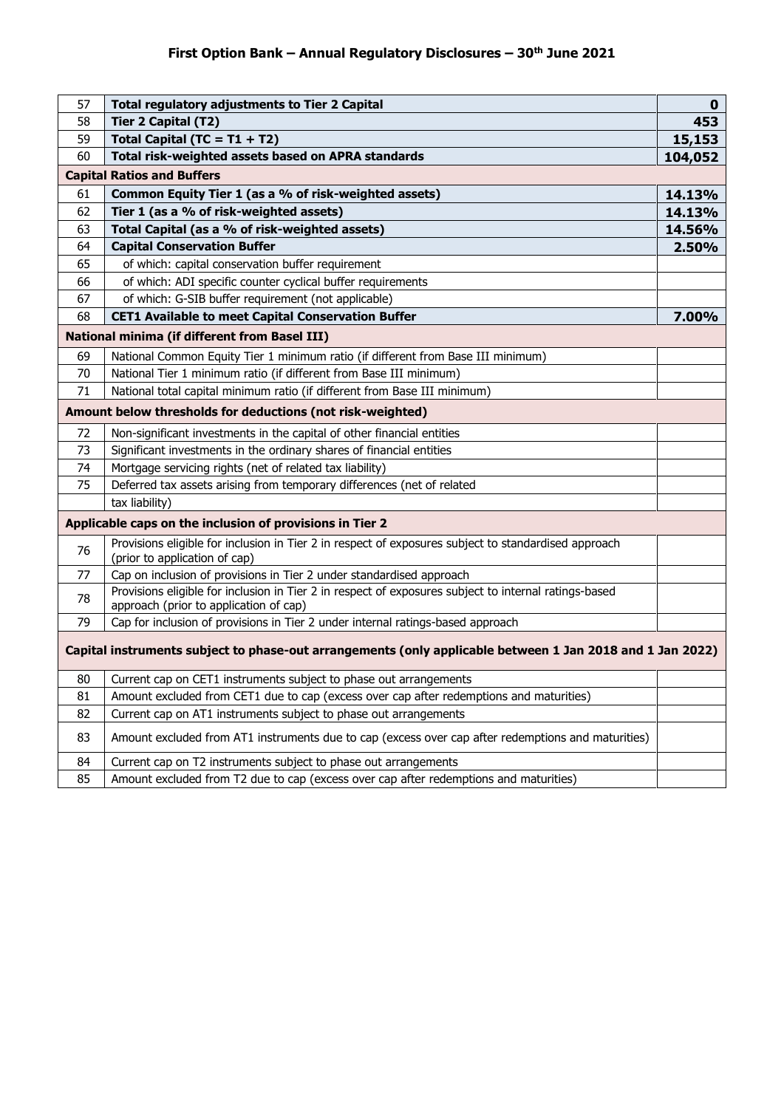| 57                                                                                                        | <b>Total regulatory adjustments to Tier 2 Capital</b>                                                                                           | $\mathbf 0$ |
|-----------------------------------------------------------------------------------------------------------|-------------------------------------------------------------------------------------------------------------------------------------------------|-------------|
| 58                                                                                                        | <b>Tier 2 Capital (T2)</b>                                                                                                                      | 453         |
| 59                                                                                                        | Total Capital (TC = $T1 + T2$ )                                                                                                                 | 15,153      |
| 60                                                                                                        | Total risk-weighted assets based on APRA standards                                                                                              | 104,052     |
|                                                                                                           | <b>Capital Ratios and Buffers</b>                                                                                                               |             |
| 61                                                                                                        | Common Equity Tier 1 (as a % of risk-weighted assets)                                                                                           | 14.13%      |
| 62                                                                                                        | Tier 1 (as a % of risk-weighted assets)                                                                                                         | 14.13%      |
| 63                                                                                                        | Total Capital (as a % of risk-weighted assets)                                                                                                  | 14.56%      |
| 64                                                                                                        | <b>Capital Conservation Buffer</b>                                                                                                              | 2.50%       |
| 65                                                                                                        | of which: capital conservation buffer requirement                                                                                               |             |
| 66                                                                                                        | of which: ADI specific counter cyclical buffer requirements                                                                                     |             |
| 67                                                                                                        | of which: G-SIB buffer requirement (not applicable)                                                                                             |             |
| 68                                                                                                        | <b>CET1 Available to meet Capital Conservation Buffer</b>                                                                                       | 7.00%       |
|                                                                                                           | <b>National minima (if different from Basel III)</b>                                                                                            |             |
| 69                                                                                                        | National Common Equity Tier 1 minimum ratio (if different from Base III minimum)                                                                |             |
| 70                                                                                                        | National Tier 1 minimum ratio (if different from Base III minimum)                                                                              |             |
| 71                                                                                                        | National total capital minimum ratio (if different from Base III minimum)                                                                       |             |
|                                                                                                           | Amount below thresholds for deductions (not risk-weighted)                                                                                      |             |
| 72                                                                                                        | Non-significant investments in the capital of other financial entities                                                                          |             |
| 73                                                                                                        | Significant investments in the ordinary shares of financial entities                                                                            |             |
| 74                                                                                                        | Mortgage servicing rights (net of related tax liability)                                                                                        |             |
| 75                                                                                                        | Deferred tax assets arising from temporary differences (net of related                                                                          |             |
|                                                                                                           | tax liability)                                                                                                                                  |             |
|                                                                                                           | Applicable caps on the inclusion of provisions in Tier 2                                                                                        |             |
| 76                                                                                                        | Provisions eligible for inclusion in Tier 2 in respect of exposures subject to standardised approach<br>(prior to application of cap)           |             |
| 77                                                                                                        | Cap on inclusion of provisions in Tier 2 under standardised approach                                                                            |             |
| 78                                                                                                        | Provisions eligible for inclusion in Tier 2 in respect of exposures subject to internal ratings-based<br>approach (prior to application of cap) |             |
| 79                                                                                                        | Cap for inclusion of provisions in Tier 2 under internal ratings-based approach                                                                 |             |
| Capital instruments subject to phase-out arrangements (only applicable between 1 Jan 2018 and 1 Jan 2022) |                                                                                                                                                 |             |
| 80                                                                                                        | Current cap on CET1 instruments subject to phase out arrangements                                                                               |             |
| 81                                                                                                        | Amount excluded from CET1 due to cap (excess over cap after redemptions and maturities)                                                         |             |
| 82                                                                                                        | Current cap on AT1 instruments subject to phase out arrangements                                                                                |             |
| 83                                                                                                        | Amount excluded from AT1 instruments due to cap (excess over cap after redemptions and maturities)                                              |             |
| 84                                                                                                        | Current cap on T2 instruments subject to phase out arrangements                                                                                 |             |
| 85                                                                                                        | Amount excluded from T2 due to cap (excess over cap after redemptions and maturities)                                                           |             |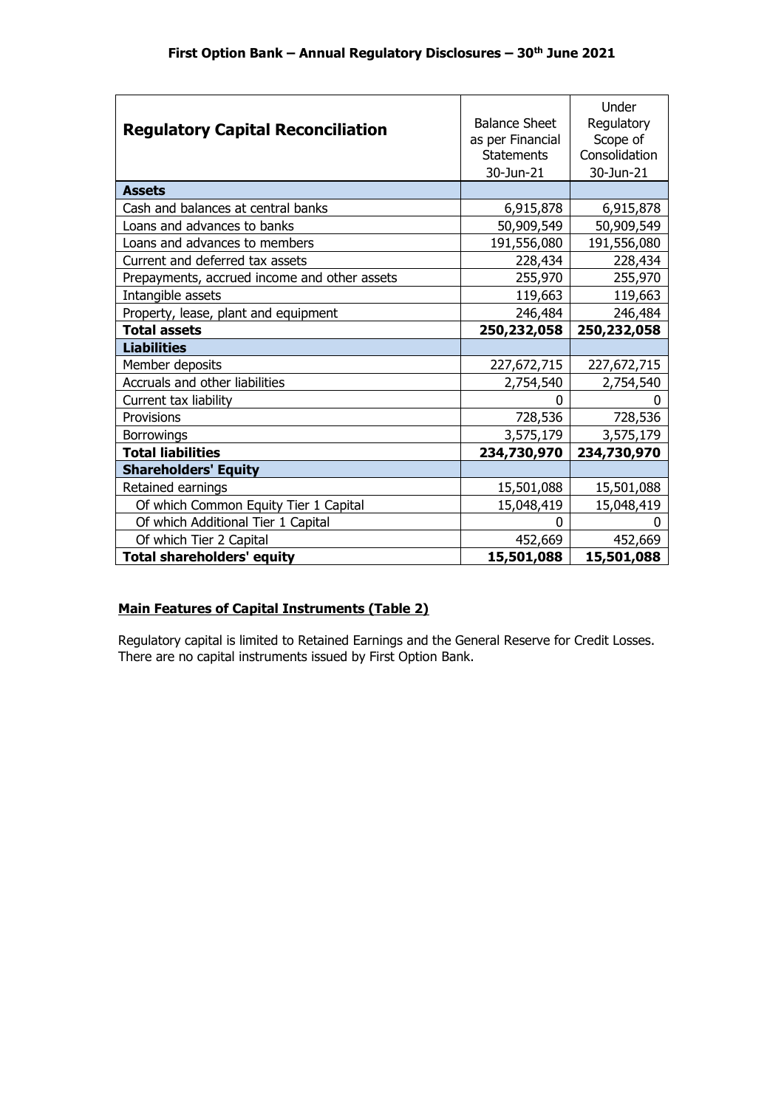| <b>Regulatory Capital Reconciliation</b>     | <b>Balance Sheet</b><br>as per Financial<br><b>Statements</b><br>30-Jun-21 | Under<br>Regulatory<br>Scope of<br>Consolidation<br>30-Jun-21 |
|----------------------------------------------|----------------------------------------------------------------------------|---------------------------------------------------------------|
| <b>Assets</b>                                |                                                                            |                                                               |
| Cash and balances at central banks           | 6,915,878                                                                  | 6,915,878                                                     |
| Loans and advances to banks                  | 50,909,549                                                                 | 50,909,549                                                    |
| Loans and advances to members                | 191,556,080                                                                | 191,556,080                                                   |
| Current and deferred tax assets              | 228,434                                                                    | 228,434                                                       |
| Prepayments, accrued income and other assets | 255,970                                                                    | 255,970                                                       |
| Intangible assets                            | 119,663                                                                    | 119,663                                                       |
| Property, lease, plant and equipment         | 246,484                                                                    | 246,484                                                       |
| <b>Total assets</b>                          | 250,232,058                                                                | 250,232,058                                                   |
| <b>Liabilities</b>                           |                                                                            |                                                               |
| Member deposits                              | 227,672,715                                                                | 227,672,715                                                   |
| Accruals and other liabilities               | 2,754,540                                                                  | 2,754,540                                                     |
| Current tax liability                        | 0                                                                          | 0                                                             |
| Provisions                                   | 728,536                                                                    | 728,536                                                       |
| <b>Borrowings</b>                            | 3,575,179                                                                  | 3,575,179                                                     |
| <b>Total liabilities</b>                     | 234,730,970                                                                | 234,730,970                                                   |
| <b>Shareholders' Equity</b>                  |                                                                            |                                                               |
| Retained earnings                            | 15,501,088                                                                 | 15,501,088                                                    |
| Of which Common Equity Tier 1 Capital        | 15,048,419                                                                 | 15,048,419                                                    |
| Of which Additional Tier 1 Capital           | 0                                                                          | 0                                                             |
| Of which Tier 2 Capital                      | 452,669                                                                    | 452,669                                                       |
| <b>Total shareholders' equity</b>            | 15,501,088                                                                 | 15,501,088                                                    |

## **Main Features of Capital Instruments (Table 2)**

Regulatory capital is limited to Retained Earnings and the General Reserve for Credit Losses. There are no capital instruments issued by First Option Bank.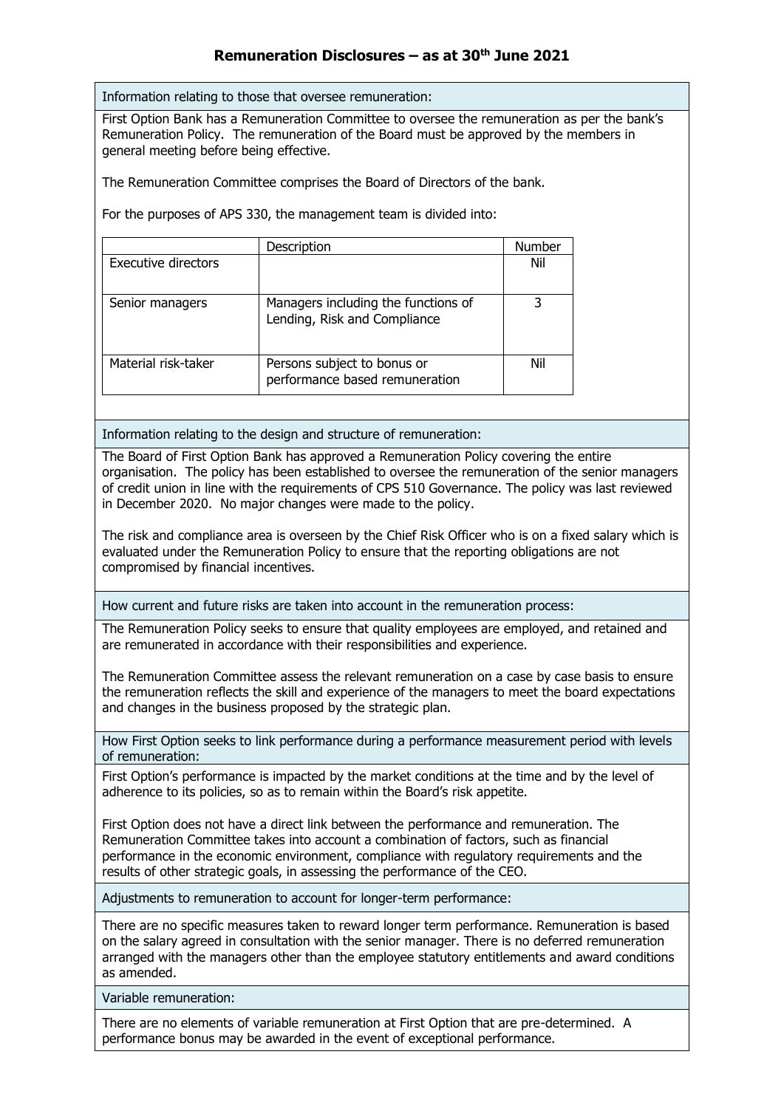## **Remuneration Disclosures – as at 30th June 2021**

Information relating to those that oversee remuneration:

First Option Bank has a Remuneration Committee to oversee the remuneration as per the bank's Remuneration Policy. The remuneration of the Board must be approved by the members in general meeting before being effective.

The Remuneration Committee comprises the Board of Directors of the bank.

For the purposes of APS 330, the management team is divided into:

|                            | Description                                                         | Number |
|----------------------------|---------------------------------------------------------------------|--------|
| <b>Executive directors</b> |                                                                     | Nil    |
| Senior managers            | Managers including the functions of<br>Lending, Risk and Compliance |        |
| Material risk-taker        | Persons subject to bonus or<br>performance based remuneration       | Nil    |

Information relating to the design and structure of remuneration:

The Board of First Option Bank has approved a Remuneration Policy covering the entire organisation. The policy has been established to oversee the remuneration of the senior managers of credit union in line with the requirements of CPS 510 Governance. The policy was last reviewed in December 2020. No major changes were made to the policy.

The risk and compliance area is overseen by the Chief Risk Officer who is on a fixed salary which is evaluated under the Remuneration Policy to ensure that the reporting obligations are not compromised by financial incentives.

How current and future risks are taken into account in the remuneration process:

The Remuneration Policy seeks to ensure that quality employees are employed, and retained and are remunerated in accordance with their responsibilities and experience.

The Remuneration Committee assess the relevant remuneration on a case by case basis to ensure the remuneration reflects the skill and experience of the managers to meet the board expectations and changes in the business proposed by the strategic plan.

How First Option seeks to link performance during a performance measurement period with levels of remuneration:

First Option's performance is impacted by the market conditions at the time and by the level of adherence to its policies, so as to remain within the Board's risk appetite.

First Option does not have a direct link between the performance and remuneration. The Remuneration Committee takes into account a combination of factors, such as financial performance in the economic environment, compliance with regulatory requirements and the results of other strategic goals, in assessing the performance of the CEO.

Adjustments to remuneration to account for longer-term performance:

There are no specific measures taken to reward longer term performance. Remuneration is based on the salary agreed in consultation with the senior manager. There is no deferred remuneration arranged with the managers other than the employee statutory entitlements and award conditions as amended.

Variable remuneration:

There are no elements of variable remuneration at First Option that are pre-determined. A performance bonus may be awarded in the event of exceptional performance.